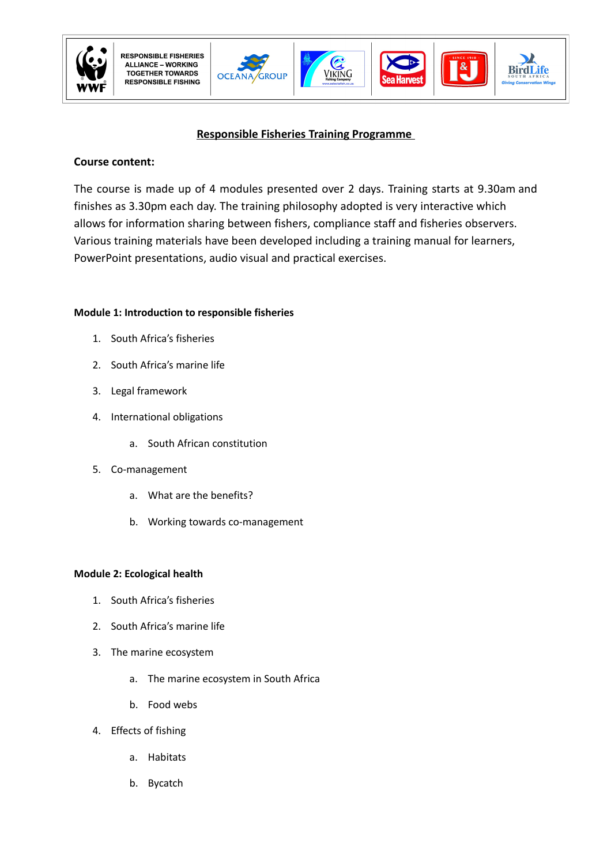

**OCEA** 

**GROUP** 







# **Responsible Fisheries Training Programme**

# **Course content:**

The course is made up of 4 modules presented over 2 days. Training starts at 9.30am and finishes as 3.30pm each day. The training philosophy adopted is very interactive which allows for information sharing between fishers, compliance staff and fisheries observers. Various training materials have been developed including a training manual for learners, PowerPoint presentations, audio visual and practical exercises.

## **Module 1: Introduction to responsible fisheries**

- 1. South Africa's fisheries
- 2. South Africa's marine life
- 3. Legal framework
- 4. International obligations
	- a. South African constitution
- 5. Co-management
	- a. What are the benefits?
	- b. Working towards co-management

### **Module 2: Ecological health**

- 1. South Africa's fisheries
- 2. South Africa's marine life
- 3. The marine ecosystem
	- a. The marine ecosystem in South Africa
	- b. Food webs
- 4. Effects of fishing
	- a. Habitats
	- b. Bycatch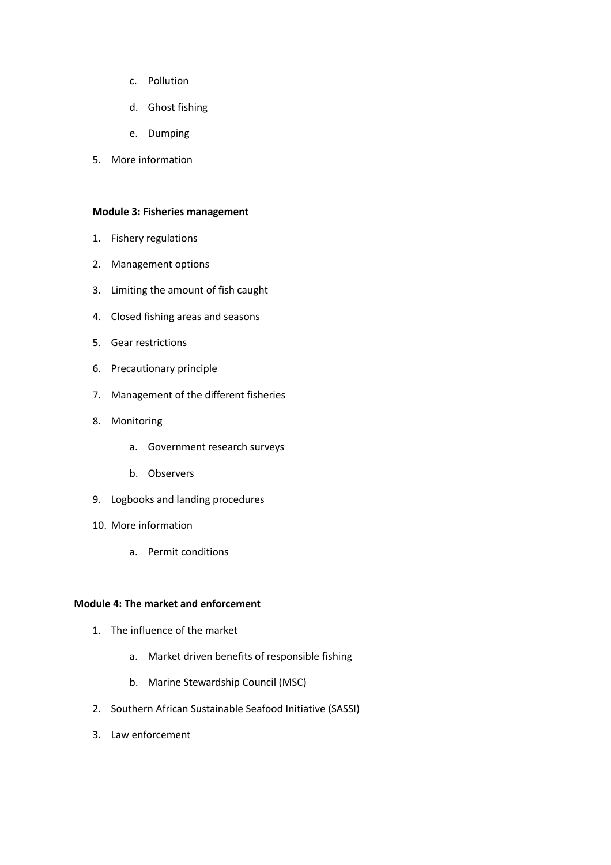- c. Pollution
- d. Ghost fishing
- e. Dumping
- 5. More information

#### **Module 3: Fisheries management**

- 1. Fishery regulations
- 2. Management options
- 3. Limiting the amount of fish caught
- 4. Closed fishing areas and seasons
- 5. Gear restrictions
- 6. Precautionary principle
- 7. Management of the different fisheries
- 8. Monitoring
	- a. Government research surveys
	- b. Observers
- 9. Logbooks and landing procedures
- 10. More information
	- a. Permit conditions

### **Module 4: The market and enforcement**

- 1. The influence of the market
	- a. Market driven benefits of responsible fishing
	- b. Marine Stewardship Council (MSC)
- 2. Southern African Sustainable Seafood Initiative (SASSI)
- 3. Law enforcement